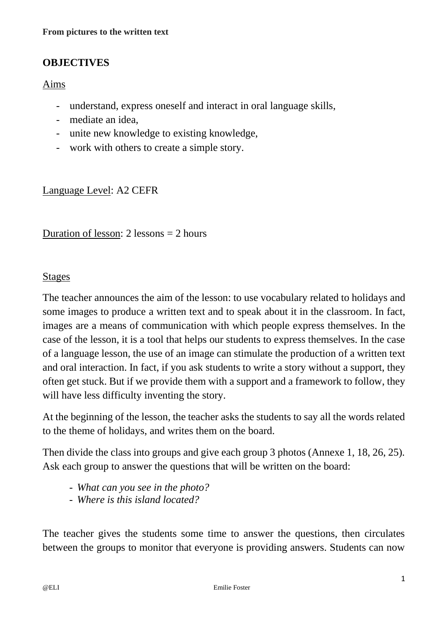## **OBJECTIVES**

## Aims

- understand, express oneself and interact in oral language skills,
- mediate an idea,
- unite new knowledge to existing knowledge,
- work with others to create a simple story.

Language Level: A2 CEFR

Duration of lesson: 2 lessons = 2 hours

## Stages

The teacher announces the aim of the lesson: to use vocabulary related to holidays and some images to produce a written text and to speak about it in the classroom. In fact, images are a means of communication with which people express themselves. In the case of the lesson, it is a tool that helps our students to express themselves. In the case of a language lesson, the use of an image can stimulate the production of a written text and oral interaction. In fact, if you ask students to write a story without a support, they often get stuck. But if we provide them with a support and a framework to follow, they will have less difficulty inventing the story.

At the beginning of the lesson, the teacher asks the students to say all the words related to the theme of holidays, and writes them on the board.

Then divide the class into groups and give each group 3 photos (Annexe 1, 18, 26, 25). Ask each group to answer the questions that will be written on the board:

- *What can you see in the photo?*
- *Where is this island located?*

The teacher gives the students some time to answer the questions, then circulates between the groups to monitor that everyone is providing answers. Students can now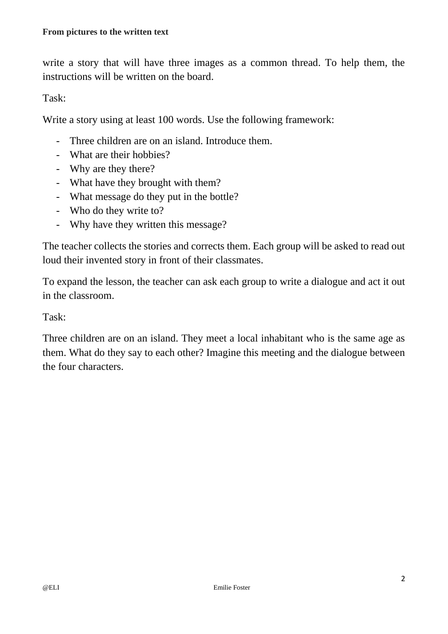write a story that will have three images as a common thread. To help them, the instructions will be written on the board.

Task:

Write a story using at least 100 words. Use the following framework:

- Three children are on an island. Introduce them.
- What are their hobbies?
- Why are they there?
- What have they brought with them?
- What message do they put in the bottle?
- Who do they write to?
- Why have they written this message?

The teacher collects the stories and corrects them. Each group will be asked to read out loud their invented story in front of their classmates.

To expand the lesson, the teacher can ask each group to write a dialogue and act it out in the classroom.

Task:

Three children are on an island. They meet a local inhabitant who is the same age as them. What do they say to each other? Imagine this meeting and the dialogue between the four characters.